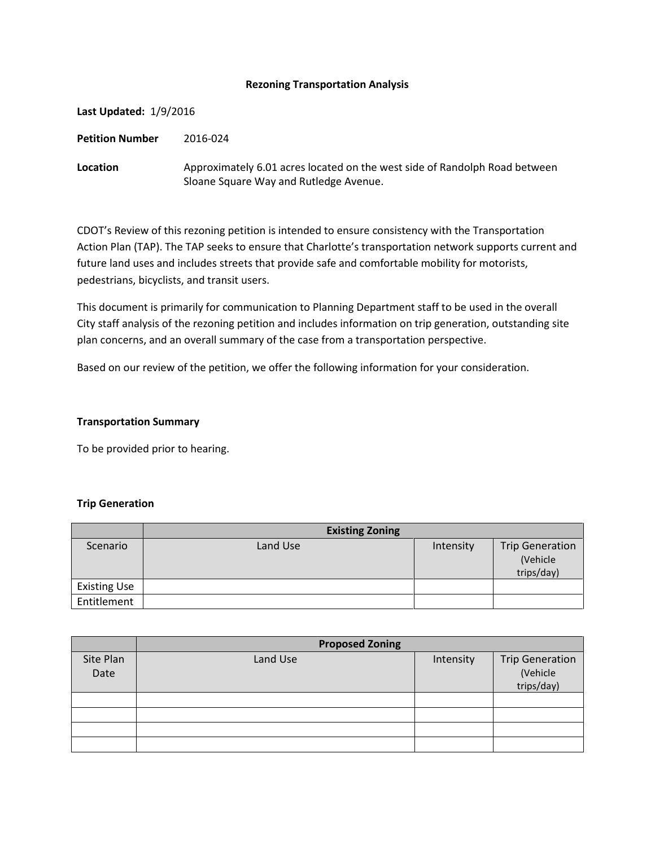## **Rezoning Transportation Analysis**

**Last Updated:** 1/9/2016

**Petition Number** 2016-024

**Location** Approximately 6.01 acres located on the west side of Randolph Road between Sloane Square Way and Rutledge Avenue.

CDOT's Review of this rezoning petition is intended to ensure consistency with the Transportation Action Plan (TAP). The TAP seeks to ensure that Charlotte's transportation network supports current and future land uses and includes streets that provide safe and comfortable mobility for motorists, pedestrians, bicyclists, and transit users.

This document is primarily for communication to Planning Department staff to be used in the overall City staff analysis of the rezoning petition and includes information on trip generation, outstanding site plan concerns, and an overall summary of the case from a transportation perspective.

Based on our review of the petition, we offer the following information for your consideration.

## **Transportation Summary**

To be provided prior to hearing.

#### **Trip Generation**

|                     | <b>Existing Zoning</b> |           |                                                  |
|---------------------|------------------------|-----------|--------------------------------------------------|
| Scenario            | Land Use               | Intensity | <b>Trip Generation</b><br>(Vehicle<br>trips/day) |
| <b>Existing Use</b> |                        |           |                                                  |
| Entitlement         |                        |           |                                                  |

|                   | <b>Proposed Zoning</b> |           |                                                  |  |
|-------------------|------------------------|-----------|--------------------------------------------------|--|
| Site Plan<br>Date | Land Use               | Intensity | <b>Trip Generation</b><br>(Vehicle<br>trips/day) |  |
|                   |                        |           |                                                  |  |
|                   |                        |           |                                                  |  |
|                   |                        |           |                                                  |  |
|                   |                        |           |                                                  |  |